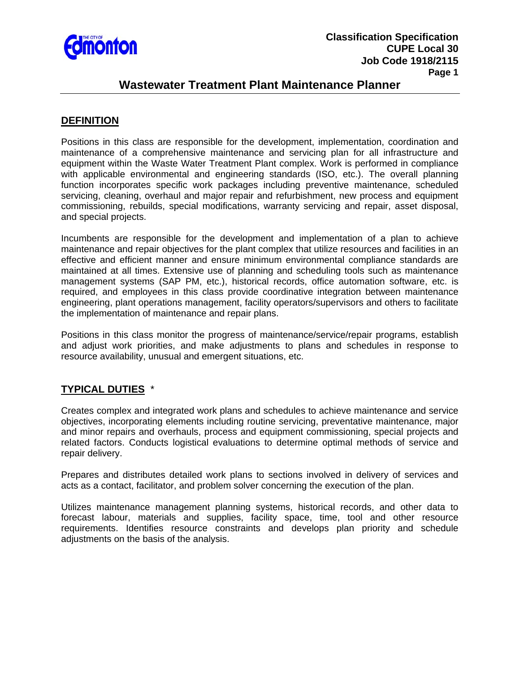

### **Wastewater Treatment Plant Maintenance Planner**

#### **DEFINITION**

Positions in this class are responsible for the development, implementation, coordination and maintenance of a comprehensive maintenance and servicing plan for all infrastructure and equipment within the Waste Water Treatment Plant complex. Work is performed in compliance with applicable environmental and engineering standards (ISO, etc.). The overall planning function incorporates specific work packages including preventive maintenance, scheduled servicing, cleaning, overhaul and major repair and refurbishment, new process and equipment commissioning, rebuilds, special modifications, warranty servicing and repair, asset disposal, and special projects.

Incumbents are responsible for the development and implementation of a plan to achieve maintenance and repair objectives for the plant complex that utilize resources and facilities in an effective and efficient manner and ensure minimum environmental compliance standards are maintained at all times. Extensive use of planning and scheduling tools such as maintenance management systems (SAP PM, etc.), historical records, office automation software, etc. is required, and employees in this class provide coordinative integration between maintenance engineering, plant operations management, facility operators/supervisors and others to facilitate the implementation of maintenance and repair plans.

Positions in this class monitor the progress of maintenance/service/repair programs, establish and adjust work priorities, and make adjustments to plans and schedules in response to resource availability, unusual and emergent situations, etc.

## **TYPICAL DUTIES** \*

Creates complex and integrated work plans and schedules to achieve maintenance and service objectives, incorporating elements including routine servicing, preventative maintenance, major and minor repairs and overhauls, process and equipment commissioning, special projects and related factors. Conducts logistical evaluations to determine optimal methods of service and repair delivery.

Prepares and distributes detailed work plans to sections involved in delivery of services and acts as a contact, facilitator, and problem solver concerning the execution of the plan.

Utilizes maintenance management planning systems, historical records, and other data to forecast labour, materials and supplies, facility space, time, tool and other resource requirements. Identifies resource constraints and develops plan priority and schedule adjustments on the basis of the analysis.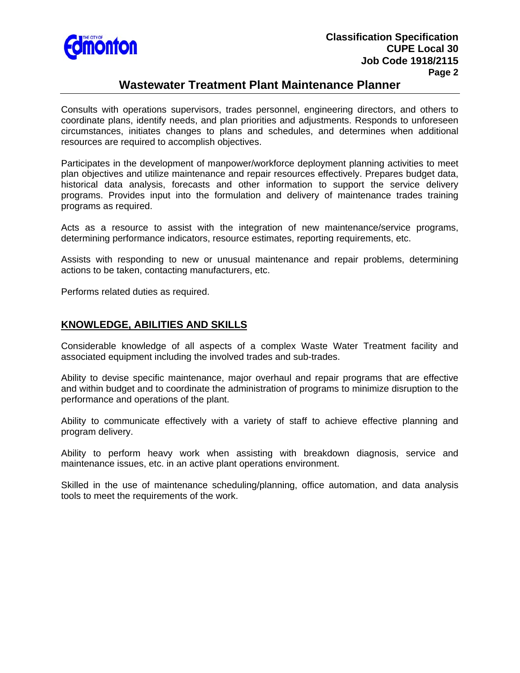

## **Wastewater Treatment Plant Maintenance Planner**

Consults with operations supervisors, trades personnel, engineering directors, and others to coordinate plans, identify needs, and plan priorities and adjustments. Responds to unforeseen circumstances, initiates changes to plans and schedules, and determines when additional resources are required to accomplish objectives.

Participates in the development of manpower/workforce deployment planning activities to meet plan objectives and utilize maintenance and repair resources effectively. Prepares budget data, historical data analysis, forecasts and other information to support the service delivery programs. Provides input into the formulation and delivery of maintenance trades training programs as required.

Acts as a resource to assist with the integration of new maintenance/service programs, determining performance indicators, resource estimates, reporting requirements, etc.

Assists with responding to new or unusual maintenance and repair problems, determining actions to be taken, contacting manufacturers, etc.

Performs related duties as required.

### **KNOWLEDGE, ABILITIES AND SKILLS**

Considerable knowledge of all aspects of a complex Waste Water Treatment facility and associated equipment including the involved trades and sub-trades.

Ability to devise specific maintenance, major overhaul and repair programs that are effective and within budget and to coordinate the administration of programs to minimize disruption to the performance and operations of the plant.

Ability to communicate effectively with a variety of staff to achieve effective planning and program delivery.

Ability to perform heavy work when assisting with breakdown diagnosis, service and maintenance issues, etc. in an active plant operations environment.

Skilled in the use of maintenance scheduling/planning, office automation, and data analysis tools to meet the requirements of the work.